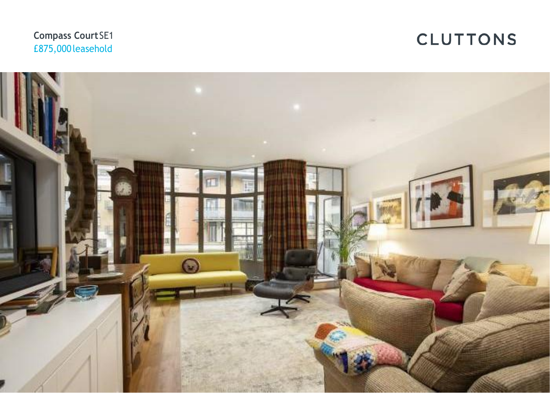



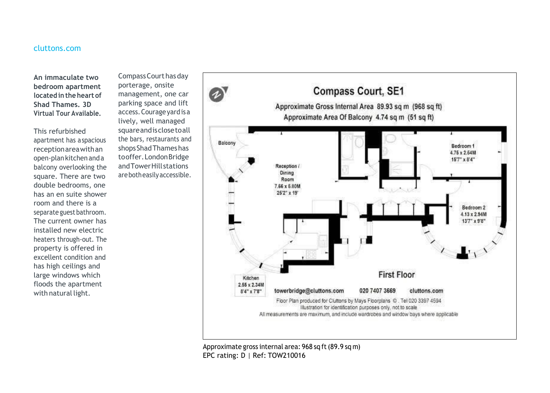### cluttons.com

## **An immaculate two bedroom apartment located in the heart of Shad Thames. 3D Virtual Tour Available.**

This refurbished apartment has aspacious receptionareawithan open-plankitchen anda balcony overlooking the square. There are two double bedrooms, one has an en suite shower room and there is a separate guest bathroom. The current owner has installed new electric heaters through-out. The property is offered in excellent condition and has high ceilings and large windows which floods the apartment with natural light.

Compass Court has day porterage, onsite management, one car parking space and lift access.Courageyardisa lively, well managed squareandisclosetoall the bars, restaurants and shopsShadThameshas tooffer.LondonBridge andTowerHillstations arebotheasilyaccessible.



Approximate gross internal area: 968 sq ft (89.9 sq m) EPC rating: D | Ref: TOW210016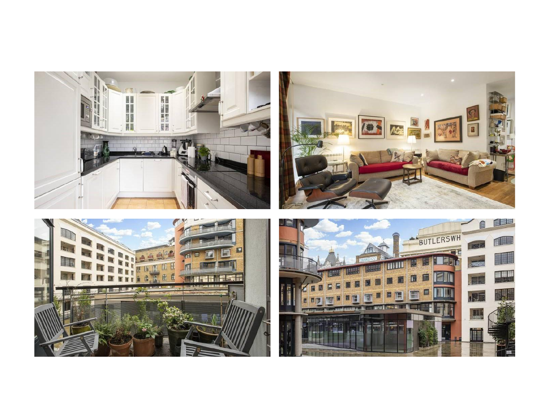